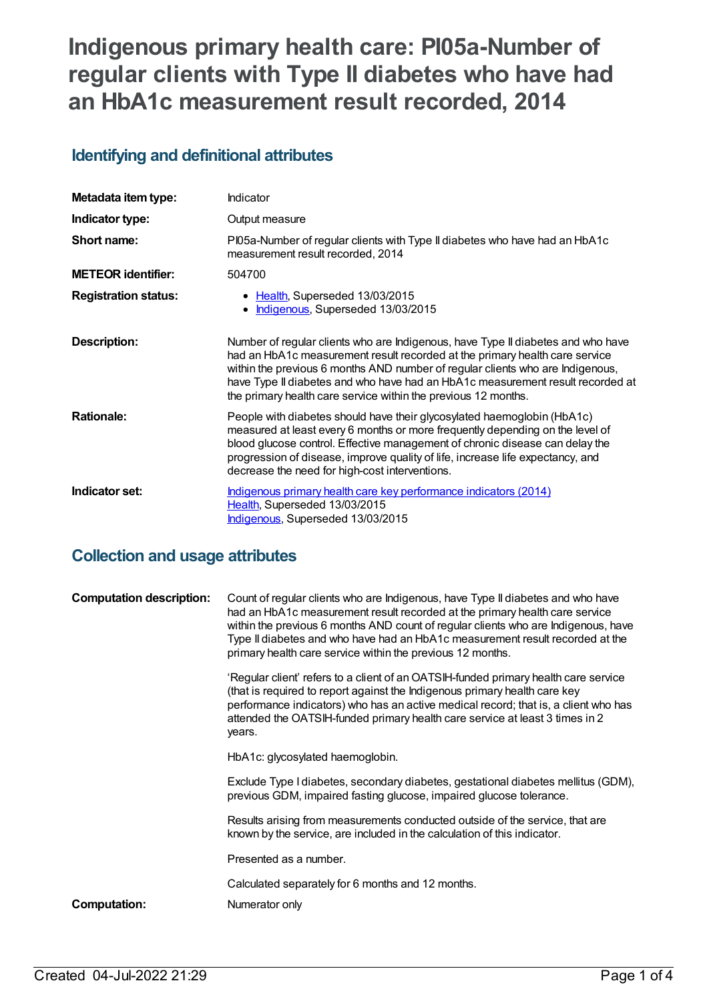# **Indigenous primary health care: PI05a-Number of regular clients with Type II diabetes who have had an HbA1c measurement result recorded, 2014**

### **Identifying and definitional attributes**

| Metadata item type:         | Indicator                                                                                                                                                                                                                                                                                                                                                                                             |
|-----------------------------|-------------------------------------------------------------------------------------------------------------------------------------------------------------------------------------------------------------------------------------------------------------------------------------------------------------------------------------------------------------------------------------------------------|
| Indicator type:             | Output measure                                                                                                                                                                                                                                                                                                                                                                                        |
| Short name:                 | PI05a-Number of regular clients with Type II diabetes who have had an HbA1c<br>measurement result recorded, 2014                                                                                                                                                                                                                                                                                      |
| <b>METEOR identifier:</b>   | 504700                                                                                                                                                                                                                                                                                                                                                                                                |
| <b>Registration status:</b> | • Health, Superseded 13/03/2015<br>Indigenous, Superseded 13/03/2015                                                                                                                                                                                                                                                                                                                                  |
| <b>Description:</b>         | Number of regular clients who are Indigenous, have Type II diabetes and who have<br>had an HbA1c measurement result recorded at the primary health care service<br>within the previous 6 months AND number of regular clients who are Indigenous,<br>have Type II diabetes and who have had an HbA1c measurement result recorded at<br>the primary health care service within the previous 12 months. |
| <b>Rationale:</b>           | People with diabetes should have their glycosylated haemoglobin (HbA1c)<br>measured at least every 6 months or more frequently depending on the level of<br>blood glucose control. Effective management of chronic disease can delay the<br>progression of disease, improve quality of life, increase life expectancy, and<br>decrease the need for high-cost interventions.                          |
| Indicator set:              | Indigenous primary health care key performance indicators (2014)<br>Health, Superseded 13/03/2015<br>Indigenous, Superseded 13/03/2015                                                                                                                                                                                                                                                                |

### **Collection and usage attributes**

| <b>Computation description:</b> | Count of regular clients who are Indigenous, have Type II diabetes and who have<br>had an HbA1c measurement result recorded at the primary health care service<br>within the previous 6 months AND count of regular clients who are Indigenous, have<br>Type II diabetes and who have had an HbA1c measurement result recorded at the<br>primary health care service within the previous 12 months. |
|---------------------------------|-----------------------------------------------------------------------------------------------------------------------------------------------------------------------------------------------------------------------------------------------------------------------------------------------------------------------------------------------------------------------------------------------------|
|                                 | 'Regular client' refers to a client of an OATSIH-funded primary health care service<br>(that is required to report against the Indigenous primary health care key<br>performance indicators) who has an active medical record; that is, a client who has<br>attended the OATSIH-funded primary health care service at least 3 times in 2<br>years.                                                  |
|                                 | HbA1c: glycosylated haemoglobin.                                                                                                                                                                                                                                                                                                                                                                    |
|                                 | Exclude Type I diabetes, secondary diabetes, gestational diabetes mellitus (GDM),<br>previous GDM, impaired fasting glucose, impaired glucose tolerance.                                                                                                                                                                                                                                            |
|                                 | Results arising from measurements conducted outside of the service, that are<br>known by the service, are included in the calculation of this indicator.                                                                                                                                                                                                                                            |
|                                 | Presented as a number.                                                                                                                                                                                                                                                                                                                                                                              |
|                                 | Calculated separately for 6 months and 12 months.                                                                                                                                                                                                                                                                                                                                                   |
| Computation:                    | Numerator only                                                                                                                                                                                                                                                                                                                                                                                      |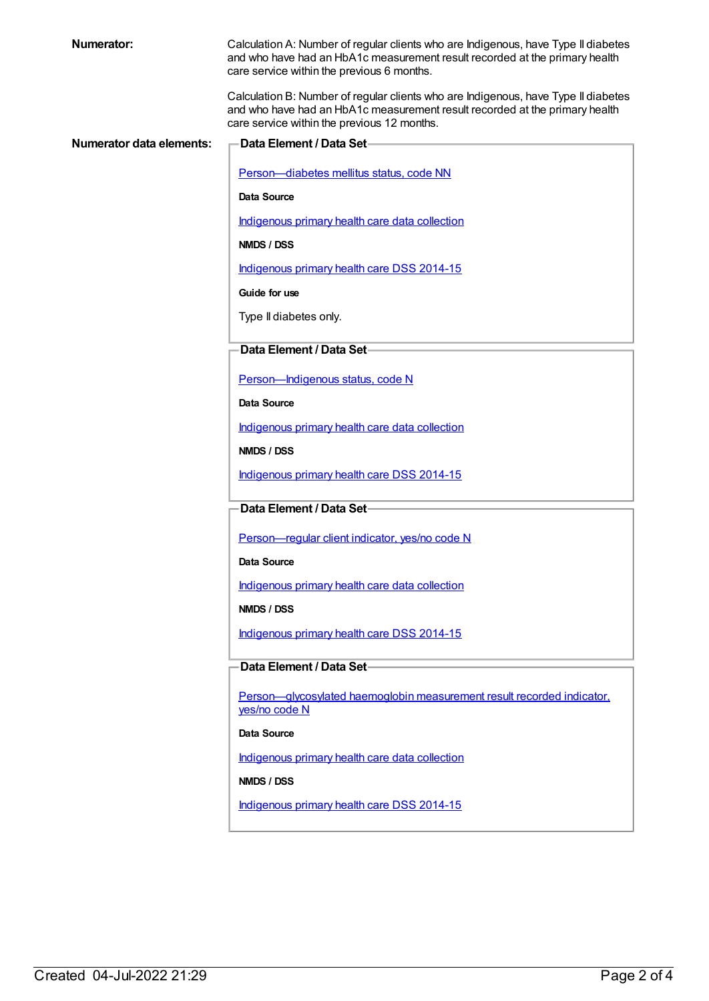| <b>Numerator:</b>               | Calculation A: Number of regular clients who are Indigenous, have Type II diabetes<br>and who have had an HbA1c measurement result recorded at the primary health<br>care service within the previous 6 months.  |
|---------------------------------|------------------------------------------------------------------------------------------------------------------------------------------------------------------------------------------------------------------|
|                                 | Calculation B: Number of regular clients who are Indigenous, have Type II diabetes<br>and who have had an HbA1c measurement result recorded at the primary health<br>care service within the previous 12 months. |
| <b>Numerator data elements:</b> | Data Element / Data Set-                                                                                                                                                                                         |
|                                 |                                                                                                                                                                                                                  |
|                                 | Person-diabetes mellitus status, code NN                                                                                                                                                                         |
|                                 | Data Source                                                                                                                                                                                                      |
|                                 | Indigenous primary health care data collection                                                                                                                                                                   |
|                                 | NMDS / DSS                                                                                                                                                                                                       |
|                                 | Indigenous primary health care DSS 2014-15                                                                                                                                                                       |
|                                 | Guide for use                                                                                                                                                                                                    |
|                                 | Type II diabetes only.                                                                                                                                                                                           |
|                                 | Data Element / Data Set-                                                                                                                                                                                         |
|                                 |                                                                                                                                                                                                                  |
|                                 | Person-Indigenous status, code N                                                                                                                                                                                 |
|                                 | Data Source                                                                                                                                                                                                      |
|                                 | Indigenous primary health care data collection                                                                                                                                                                   |
|                                 | NMDS / DSS                                                                                                                                                                                                       |
|                                 | Indigenous primary health care DSS 2014-15                                                                                                                                                                       |
|                                 | Data Element / Data Set-                                                                                                                                                                                         |
|                                 |                                                                                                                                                                                                                  |
|                                 | Person-regular client indicator, yes/no code N                                                                                                                                                                   |
|                                 | Data Source                                                                                                                                                                                                      |
|                                 | Indigenous primary health care data collection                                                                                                                                                                   |
|                                 | NMDS / DSS                                                                                                                                                                                                       |
|                                 | Indigenous primary health care DSS 2014-15                                                                                                                                                                       |
|                                 | Data Element / Data Set-                                                                                                                                                                                         |
|                                 | Person-glycosylated haemoglobin measurement result recorded indicator.                                                                                                                                           |
|                                 | yes/no code N                                                                                                                                                                                                    |
|                                 | Data Source                                                                                                                                                                                                      |
|                                 | Indigenous primary health care data collection                                                                                                                                                                   |
|                                 | NMDS / DSS                                                                                                                                                                                                       |
|                                 | Indigenous primary health care DSS 2014-15                                                                                                                                                                       |
|                                 |                                                                                                                                                                                                                  |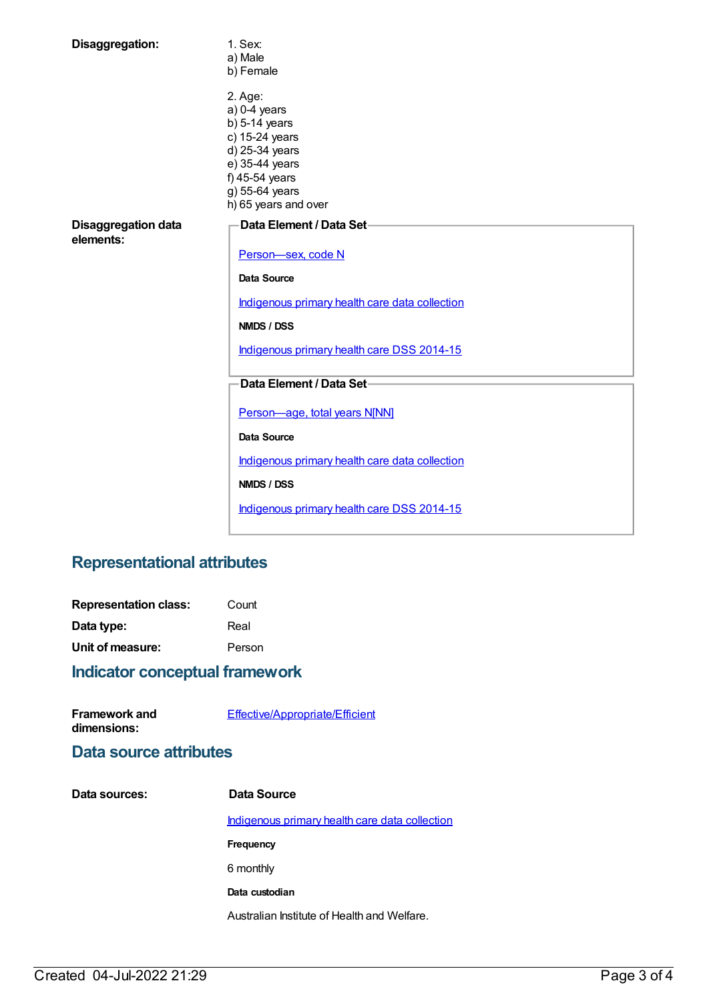| Disaggregation:                         | 1. Sex:<br>a) Male<br>b) Female                                                                                                                                |  |
|-----------------------------------------|----------------------------------------------------------------------------------------------------------------------------------------------------------------|--|
|                                         | 2. Age:<br>$a) 0-4$ years<br>$b)$ 5-14 years<br>c) 15-24 years<br>d) 25-34 years<br>e) 35-44 years<br>f) 45-54 years<br>g) 55-64 years<br>h) 65 years and over |  |
| <b>Disaggregation data</b><br>elements: | Data Element / Data Set-<br>Person-sex, code N<br>Data Source<br>Indigenous primary health care data collection<br>NMDS / DSS                                  |  |
|                                         | Indigenous primary health care DSS 2014-15                                                                                                                     |  |
|                                         | Data Element / Data Set-                                                                                                                                       |  |
|                                         | Person-age, total years N[NN]                                                                                                                                  |  |
|                                         | Data Source                                                                                                                                                    |  |
|                                         | Indigenous primary health care data collection                                                                                                                 |  |
|                                         | NMDS / DSS                                                                                                                                                     |  |
|                                         | Indigenous primary health care DSS 2014-15                                                                                                                     |  |

## **Representational attributes**

| <b>Representation class:</b> | Count  |
|------------------------------|--------|
| Data type:                   | Real   |
| Unit of measure:             | Person |

## **Indicator conceptual framework**

| <b>Framework and</b> | Effective/Appropriate/Efficient |  |
|----------------------|---------------------------------|--|
| dimensions:          |                                 |  |

### **Data source attributes**

| Data sources: | Data Source                                    |
|---------------|------------------------------------------------|
|               | Indigenous primary health care data collection |
|               | Frequency                                      |
|               | 6 monthly                                      |
|               | Data custodian                                 |
|               | Australian Institute of Health and Welfare.    |